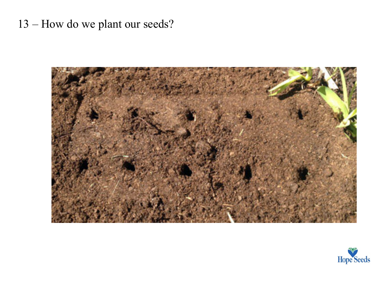13 – How do we plant our seeds?



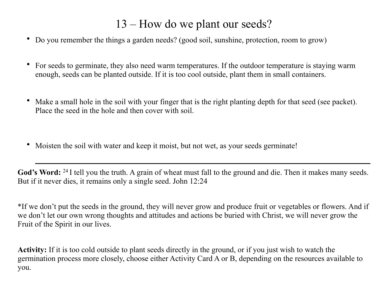# 13 – How do we plant our seeds?

- Do you remember the things a garden needs? (good soil, sunshine, protection, room to grow)
- For seeds to germinate, they also need warm temperatures. If the outdoor temperature is staying warm enough, seeds can be planted outside. If it is too cool outside, plant them in small containers.
- Make a small hole in the soil with your finger that is the right planting depth for that seed (see packet). Place the seed in the hole and then cover with soil.
- Moisten the soil with water and keep it moist, but not wet, as your seeds germinate!

God's Word: <sup>24</sup> I tell you the truth. A grain of wheat must fall to the ground and die. Then it makes many seeds. But if it never dies, it remains only a single seed. John 12:24

\*If we don't put the seeds in the ground, they will never grow and produce fruit or vegetables or flowers. And if we don't let our own wrong thoughts and attitudes and actions be buried with Christ, we will never grow the Fruit of the Spirit in our lives.

**Activity:** If it is too cold outside to plant seeds directly in the ground, or if you just wish to watch the germination process more closely, choose either Activity Card A or B, depending on the resources available to you.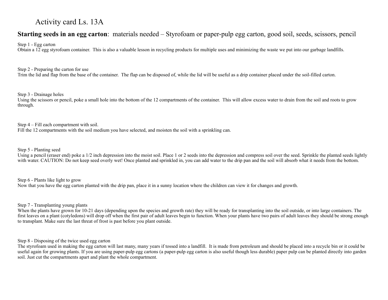## Activity card Ls. 13A

## **Starting seeds in an egg carton**: materials needed – Styrofoam or paper-pulp egg carton, good soil, seeds, scissors, pencil

Step 1 - Egg carton

Obtain a 12 egg styrofoam container. This is also a valuable lesson in recycling products for multiple uses and minimizing the waste we put into our garbage landfills.

Step 2 - Preparing the carton for use

Trim the lid and flap from the base of the container. The flap can be disposed of, while the lid will be useful as a drip container placed under the soil-filled carton.

Step 3 - Drainage holes

Using the scissors or pencil, poke a small hole into the bottom of the 12 compartments of the container. This will allow excess water to drain from the soil and roots to grow through.

### Step 4 – Fill each compartment with soil.

Fill the 12 compartments with the soil medium you have selected, and moisten the soil with a sprinkling can.

Step 5 - Planting seed

Using a pencil (eraser end) poke a 1/2 inch depression into the moist soil. Place 1 or 2 seeds into the depression and compress soil over the seed. Sprinkle the planted seeds lightly with water. CAUTION: Do not keep seed overly wet! Once planted and sprinkled in, you can add water to the drip pan and the soil will absorb what it needs from the bottom.

Step 6 - Plants like light to grow Now that you have the egg carton planted with the drip pan, place it in a sunny location where the children can view it for changes and growth.

Step 7 - Transplanting young plants

When the plants have grown for 10-21 days (depending upon the species and growth rate) they will be ready for transplanting into the soil outside, or into large containers. The first leaves on a plant (cotyledons) will drop off when the first pair of adult leaves begin to function. When your plants have two pairs of adult leaves they should be strong enough to transplant. Make sure the last threat of frost is past before you plant outside.

#### Step 8 - Disposing of the twice used egg carton

The styrofoam used in making the egg carton will last many, many years if tossed into a landfill. It is made from petroleum and should be placed into a recycle bin or it could be useful again for growing plants. If you are using paper-pulp egg cartons (a paper-pulp egg carton is also useful though less durable) paper pulp can be planted directly into garden soil. Just cut the compartments apart and plant the whole compartment.